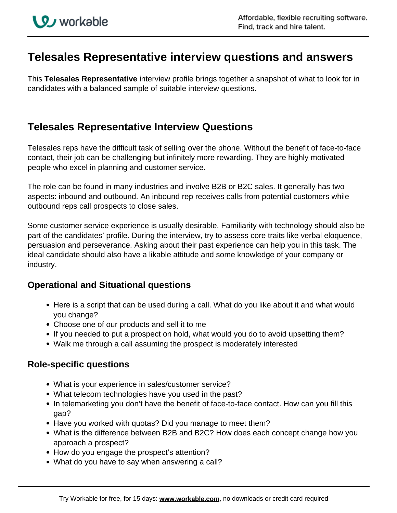# **Telesales Representative interview questions and answers**

This **Telesales Representative** interview profile brings together a snapshot of what to look for in candidates with a balanced sample of suitable interview questions.

# **Telesales Representative Interview Questions**

Telesales reps have the difficult task of selling over the phone. Without the benefit of face-to-face contact, their job can be challenging but infinitely more rewarding. They are highly motivated people who excel in planning and customer service.

The role can be found in many industries and involve B2B or B2C sales. It generally has two aspects: inbound and outbound. An inbound rep receives calls from potential customers while outbound reps call prospects to close sales.

Some customer service experience is usually desirable. Familiarity with technology should also be part of the candidates' profile. During the interview, try to assess core traits like verbal eloquence, persuasion and perseverance. Asking about their past experience can help you in this task. The ideal candidate should also have a likable attitude and some knowledge of your company or industry.

## **Operational and Situational questions**

- Here is a script that can be used during a call. What do you like about it and what would you change?
- Choose one of our products and sell it to me
- If you needed to put a prospect on hold, what would you do to avoid upsetting them?
- Walk me through a call assuming the prospect is moderately interested

### **Role-specific questions**

- What is your experience in sales/customer service?
- What telecom technologies have you used in the past?
- In telemarketing you don't have the benefit of face-to-face contact. How can you fill this gap?
- Have you worked with quotas? Did you manage to meet them?
- What is the difference between B2B and B2C? How does each concept change how you approach a prospect?
- How do you engage the prospect's attention?
- What do you have to say when answering a call?